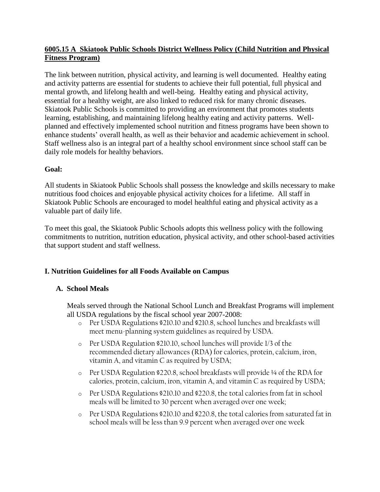## **6005.15 A Skiatook Public Schools District Wellness Policy (Child Nutrition and Physical Fitness Program)**

The link between nutrition, physical activity, and learning is well documented. Healthy eating and activity patterns are essential for students to achieve their full potential, full physical and mental growth, and lifelong health and well-being. Healthy eating and physical activity, essential for a healthy weight, are also linked to reduced risk for many chronic diseases. Skiatook Public Schools is committed to providing an environment that promotes students learning, establishing, and maintaining lifelong healthy eating and activity patterns. Wellplanned and effectively implemented school nutrition and fitness programs have been shown to enhance students' overall health, as well as their behavior and academic achievement in school. Staff wellness also is an integral part of a healthy school environment since school staff can be daily role models for healthy behaviors.

## **Goal:**

All students in Skiatook Public Schools shall possess the knowledge and skills necessary to make nutritious food choices and enjoyable physical activity choices for a lifetime. All staff in Skiatook Public Schools are encouraged to model healthful eating and physical activity as a valuable part of daily life.

To meet this goal, the Skiatook Public Schools adopts this wellness policy with the following commitments to nutrition, nutrition education, physical activity, and other school-based activities that support student and staff wellness.

## **I. Nutrition Guidelines for all Foods Available on Campus**

## **A. School Meals**

Meals served through the National School Lunch and Breakfast Programs will implement all USDA regulations by the fiscal school year 2007-2008:

- o Per USDA Regulations §210.10 and §210.8, school lunches and breakfasts will meet menu-planning system guidelines as required by USDA.
- o Per USDA Regulation §210.10, school lunches will provide 1/3 of the recommended dietary allowances (RDA) for calories, protein, calcium, iron, vitamin A, and vitamin C as required by USDA;
- o Per USDA Regulation §220.8, school breakfasts will provide ¼ of the RDA for calories, protein, calcium, iron, vitamin A, and vitamin C as required by USDA;
- o Per USDA Regulations §210.10 and §220.8, the total calories from fat in school meals will be limited to 30 percent when averaged over one week;
- o Per USDA Regulations §210.10 and §220.8, the total calories from saturated fat in school meals will be less than 9.9 percent when averaged over one week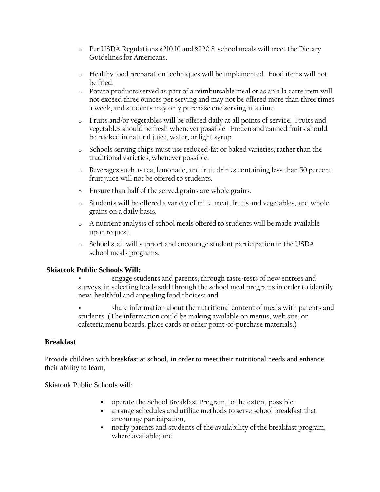- o Per USDA Regulations §210.10 and §220.8, school meals will meet the Dietary Guidelines for Americans.
- o Healthy food preparation techniques will be implemented. Food items will not be fried.
- o Potato products served as part of a reimbursable meal or as an a la carte item will not exceed three ounces per serving and may not be offered more than three times a week, and students may only purchase one serving at a time.
- o Fruits and/or vegetables will be offered daily at all points of service. Fruits and vegetables should be fresh whenever possible. Frozen and canned fruits should be packed in natural juice, water, or light syrup.
- o Schools serving chips must use reduced-fat or baked varieties, rather than the traditional varieties, whenever possible.
- o Beverages such as tea, lemonade, and fruit drinks containing less than 50 percent fruit juice will not be offered to students.
- o Ensure than half of the served grains are whole grains.
- o Students will be offered a variety of milk, meat, fruits and vegetables, and whole grains on a daily basis.
- o A nutrient analysis of school meals offered to students will be made available upon request.
- o School staff will support and encourage student participation in the USDA school meals programs.

## **Skiatook Public Schools Will:**

- engage students and parents, through taste-tests of new entrees and surveys, in selecting foods sold through the school meal programs in order to identify new, healthful and appealing food choices; and
- share information about the nutritional content of meals with parents and students. (The information could be making available on menus, web site, on cafeteria menu boards, place cards or other point-of-purchase materials.)

## **Breakfast**

Provide children with breakfast at school, in order to meet their nutritional needs and enhance their ability to learn,

Skiatook Public Schools will:

- operate the School Breakfast Program, to the extent possible;
- arrange schedules and utilize methods to serve school breakfast that encourage participation,
- notify parents and students of the availability of the breakfast program, where available; and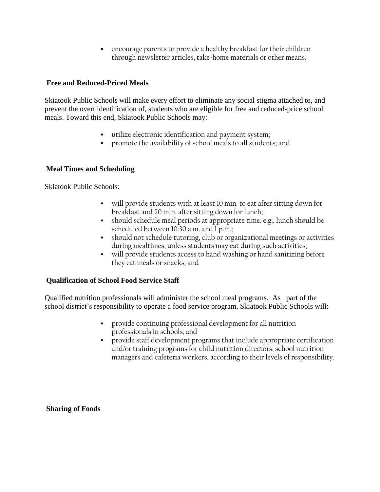encourage parents to provide a healthy breakfast for their children through newsletter articles, take-home materials or other means.

## **Free and Reduced-Priced Meals**

Skiatook Public Schools will make every effort to eliminate any social stigma attached to, and prevent the overt identification of, students who are eligible for free and reduced-price school meals. Toward this end, Skiatook Public Schools may:

- utilize electronic identification and payment system;
- promote the availability of school meals to all students; and

## **Meal Times and Scheduling**

Skiatook Public Schools:

- will provide students with at least 10 min. to eat after sitting down for breakfast and 20 min. after sitting down for lunch;
- should schedule meal periods at appropriate time, e.g., lunch should be scheduled between 10:30 a.m. and 1 p.m.;
- should not schedule tutoring, club or organizational meetings or activities during mealtimes, unless students may eat during such activities;
- will provide students access to hand washing or hand sanitizing before they eat meals or snacks; and

## **Qualification of School Food Service Staff**

Qualified nutrition professionals will administer the school meal programs. As part of the school district's responsibility to operate a food service program, Skiatook Public Schools will:

- provide continuing professional development for all nutrition professionals in schools; and
- provide staff development programs that include appropriate certification and/or training programs for child nutrition directors, school nutrition managers and cafeteria workers, according to their levels of responsibility.

**Sharing of Foods**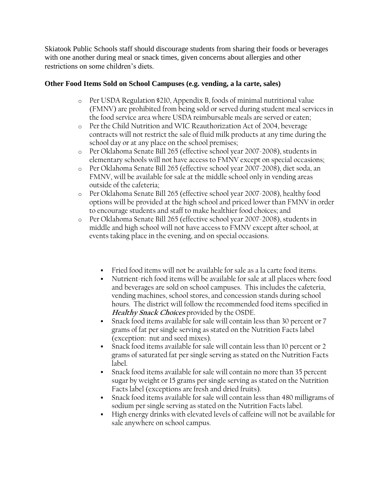Skiatook Public Schools staff should discourage students from sharing their foods or beverages with one another during meal or snack times, given concerns about allergies and other restrictions on some children's diets.

## **Other Food Items Sold on School Campuses (e.g. vending, a la carte, sales)**

- o Per USDA Regulation §210, Appendix B, foods of minimal nutritional value (FMNV) are prohibited from being sold or served during student meal services in the food service area where USDA reimbursable meals are served or eaten;
- o Per the Child Nutrition and WIC Reauthorization Act of 2004, beverage contracts will not restrict the sale of fluid milk products at any time during the school day or at any place on the school premises;
- o Per Oklahoma Senate Bill 265 (effective school year 2007-2008), students in elementary schools will not have access to FMNV except on special occasions;
- o Per Oklahoma Senate Bill 265 (effective school year 2007-2008), diet soda, an FMNV, will be available for sale at the middle school only in vending areas outside of the cafeteria;
- o Per Oklahoma Senate Bill 265 (effective school year 2007-2008), healthy food options will be provided at the high school and priced lower than FMNV in order to encourage students and staff to make healthier food choices; and
- o Per Oklahoma Senate Bill 265 (effective school year 2007-2008), students in middle and high school will not have access to FMNV except after school, at events taking place in the evening, and on special occasions.
	- Fried food items will not be available for sale as a la carte food items.
	- Nutrient-rich food items will be available for sale at all places where food and beverages are sold on school campuses. This includes the cafeteria, vending machines, school stores, and concession stands during school hours. The district will follow the recommended food items specified in **Healthy Snack Choices** provided by the OSDE.
	- Snack food items available for sale will contain less than 30 percent or 7 grams of fat per single serving as stated on the Nutrition Facts label (exception: nut and seed mixes).
	- Snack food items available for sale will contain less than 10 percent or 2 grams of saturated fat per single serving as stated on the Nutrition Facts label.
	- Snack food items available for sale will contain no more than 35 percent sugar by weight or 15 grams per single serving as stated on the Nutrition Facts label (exceptions are fresh and dried fruits).
	- Snack food items available for sale will contain less than 480 milligrams of sodium per single serving as stated on the Nutrition Facts label.
	- High energy drinks with elevated levels of caffeine will not be available for sale anywhere on school campus.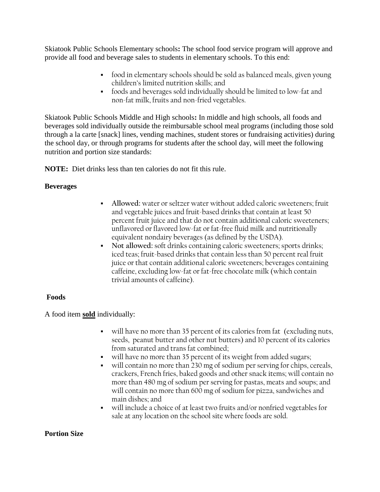Skiatook Public Schools Elementary schools**:** The school food service program will approve and provide all food and beverage sales to students in elementary schools. To this end:

- food in elementary schools should be sold as balanced meals, given young children's limited nutrition skills; and
- foods and beverages sold individually should be limited to low-fat and non-fat milk, fruits and non-fried vegetables.

Skiatook Public Schools Middle and High schools**:** In middle and high schools, all foods and beverages sold individually outside the reimbursable school meal programs (including those sold through a la carte [snack] lines, vending machines, student stores or fundraising activities) during the school day, or through programs for students after the school day, will meet the following nutrition and portion size standards:

**NOTE:** Diet drinks less than ten calories do not fit this rule.

## **Beverages**

- **Allowed:** water or seltzer water without added caloric sweeteners; fruit and vegetable juices and fruit-based drinks that contain at least 50 percent fruit juice and that do not contain additional caloric sweeteners; unflavored or flavored low-fat or fat-free fluid milk and nutritionally equivalent nondairy beverages (as defined by the USDA).
- **Not allowed:** soft drinks containing caloric sweeteners; sports drinks; iced teas; fruit-based drinks that contain less than 50 percent real fruit juice or that contain additional caloric sweeteners; beverages containing caffeine, excluding low-fat or fat-free chocolate milk (which contain trivial amounts of caffeine).

## **Foods**

A food item **sold** individually:

- will have no more than 35 percent of its calories from fat (excluding nuts, seeds, peanut butter and other nut butters) and 10 percent of its calories from saturated and trans fat combined;
- will have no more than 35 percent of its weight from added sugars;
- will contain no more than 230 mg of sodium per serving for chips, cereals, crackers, French fries, baked goods and other snack items; will contain no more than 480 mg of sodium per serving for pastas, meats and soups; and will contain no more than 600 mg of sodium for pizza, sandwiches and main dishes; and
- will include a choice of at least two fruits and/or nonfried vegetables for sale at any location on the school site where foods are sold.

## **Portion Size**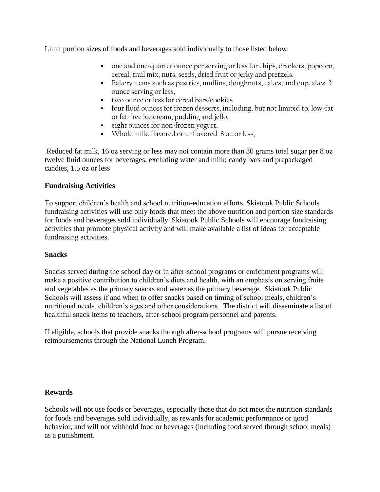Limit portion sizes of foods and beverages sold individually to those listed below:

- one and one-quarter ounce per serving or less for chips, crackers, popcorn, cereal, trail mix, nuts, seeds, dried fruit or jerky and pretzels,
- Bakery items such as pastries, muffins, doughnuts, cakes, and cupcakes: 3 ounce serving or less,
- two ounce or less for cereal bars/cookies
- four fluid ounces for frozen desserts, including, but not limited to, low-fat or fat-free ice cream, pudding and jello,
- eight ounces for non-frozen yogurt,
- Whole milk, flavored or unflavored. 8 oz or less,

Reduced fat milk, 16 oz serving or less may not contain more than 30 grams total sugar per 8 oz twelve fluid ounces for beverages, excluding water and milk; candy bars and prepackaged candies, 1.5 oz or less

## **Fundraising Activities**

To support children's health and school nutrition-education efforts, Skiatook Public Schools fundraising activities will use only foods that meet the above nutrition and portion size standards for foods and beverages sold individually. Skiatook Public Schools will encourage fundraising activities that promote physical activity and will make available a list of ideas for acceptable fundraising activities.

## **Snacks**

Snacks served during the school day or in after-school programs or enrichment programs will make a positive contribution to children's diets and health, with an emphasis on serving fruits and vegetables as the primary snacks and water as the primary beverage. Skiatook Public Schools will assess if and when to offer snacks based on timing of school meals, children's nutritional needs, children's ages and other considerations. The district will disseminate a list of healthful snack items to teachers, after-school program personnel and parents.

If eligible, schools that provide snacks through after-school programs will pursue receiving reimbursements through the National Lunch Program.

## **Rewards**

Schools will not use foods or beverages, especially those that do not meet the nutrition standards for foods and beverages sold individually, as rewards for academic performance or good behavior, and will not withhold food or beverages (including food served through school meals) as a punishment.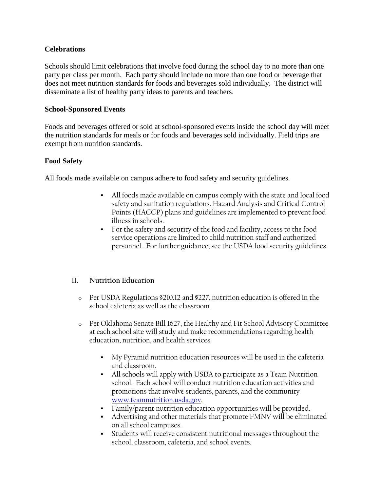## **Celebrations**

Schools should limit celebrations that involve food during the school day to no more than one party per class per month. Each party should include no more than one food or beverage that does not meet nutrition standards for foods and beverages sold individually. The district will disseminate a list of healthy party ideas to parents and teachers.

#### **School-Sponsored Events**

Foods and beverages offered or sold at school-sponsored events inside the school day will meet the nutrition standards for meals or for foods and beverages sold individually. Field trips are exempt from nutrition standards.

#### **Food Safety**

All foods made available on campus adhere to food safety and security guidelines.

- All foods made available on campus comply with the state and local food safety and sanitation regulations. Hazard Analysis and Critical Control Points (HACCP) plans and guidelines are implemented to prevent food illness in schools.
- For the safety and security of the food and facility, access to the food service operations are limited to child nutrition staff and authorized personnel. For further guidance, see the USDA food security guidelines.

## II. **Nutrition Education**

- o Per USDA Regulations §210.12 and §227, nutrition education is offered in the school cafeteria as well as the classroom.
- o Per Oklahoma Senate Bill 1627, the Healthy and Fit School Advisory Committee at each school site will study and make recommendations regarding health education, nutrition, and health services.
	- My Pyramid nutrition education resources will be used in the cafeteria and classroom.
	- All schools will apply with USDA to participate as a Team Nutrition school. Each school will conduct nutrition education activities and promotions that involve students, parents, and the community [www.teamnutrition.usda.gov.](http://www.teamnutrition.usda.gov/)
	- Family/parent nutrition education opportunities will be provided.
	- Advertising and other materials that promote FMNV will be eliminated on all school campuses.
	- Students will receive consistent nutritional messages throughout the school, classroom, cafeteria, and school events.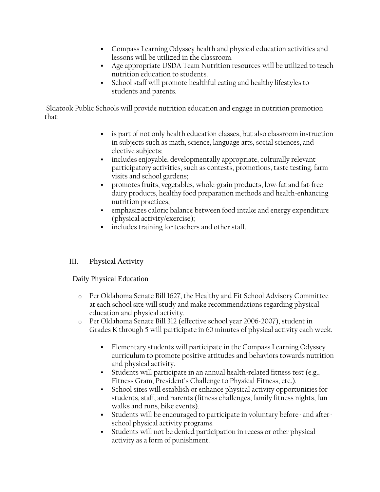- Compass Learning Odyssey health and physical education activities and lessons will be utilized in the classroom.
- Age appropriate USDA Team Nutrition resources will be utilized to teach nutrition education to students.
- School staff will promote healthful eating and healthy lifestyles to students and parents.

Skiatook Public Schools will provide nutrition education and engage in nutrition promotion that:

- is part of not only health education classes, but also classroom instruction in subjects such as math, science, language arts, social sciences, and elective subjects;
- includes enjoyable, developmentally appropriate, culturally relevant participatory activities, such as contests, promotions, taste testing, farm visits and school gardens;
- promotes fruits, vegetables, whole-grain products, low-fat and fat-free dairy products, healthy food preparation methods and health-enhancing nutrition practices;
- emphasizes caloric balance between food intake and energy expenditure (physical activity/exercise);
- includes training for teachers and other staff.

## III. **Physical Activity**

## Daily Physical Education

- o Per Oklahoma Senate Bill 1627, the Healthy and Fit School Advisory Committee at each school site will study and make recommendations regarding physical education and physical activity.
- o Per Oklahoma Senate Bill 312 (effective school year 2006-2007), student in Grades K through 5 will participate in 60 minutes of physical activity each week.
	- Elementary students will participate in the Compass Learning Odyssey curriculum to promote positive attitudes and behaviors towards nutrition and physical activity.
	- Students will participate in an annual health-related fitness test (e.g., Fitness Gram, President's Challenge to Physical Fitness, etc.).
	- School sites will establish or enhance physical activity opportunities for students, staff, and parents (fitness challenges, family fitness nights, fun walks and runs, bike events).
	- Students will be encouraged to participate in voluntary before- and afterschool physical activity programs.
	- Students will not be denied participation in recess or other physical activity as a form of punishment.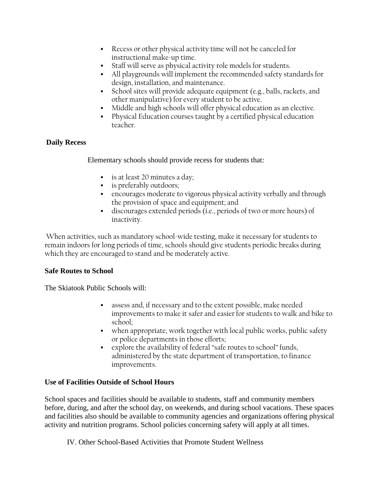- Recess or other physical activity time will not be canceled for instructional make-up time.
- Staff will serve as physical activity role models for students.
- All playgrounds will implement the recommended safety standards for design, installation, and maintenance.
- School sites will provide adequate equipment (e.g., balls, rackets, and other manipulative) for every student to be active.
- Middle and high schools will offer physical education as an elective.
- Physical Education courses taught by a certified physical education teacher.

## **Daily Recess**

Elementary schools should provide recess for students that:

- is at least 20 minutes a day;
- **is preferably outdoors;**
- encourages moderate to vigorous physical activity verbally and through the provision of space and equipment; and
- discourages extended periods (i.e., periods of two or more hours) of inactivity.

When activities, such as mandatory school-wide testing, make it necessary for students to remain indoors for long periods of time, schools should give students periodic breaks during which they are encouraged to stand and be moderately active.

## **Safe Routes to School**

The Skiatook Public Schools will:

- assess and, if necessary and to the extent possible, make needed improvements to make it safer and easier for students to walk and bike to school;
- when appropriate, work together with local public works, public safety or police departments in those efforts;
- explore the availability of federal "safe routes to school" funds, administered by the state department of transportation, to finance improvements.

## **Use of Facilities Outside of School Hours**

School spaces and facilities should be available to students, staff and community members before, during, and after the school day, on weekends, and during school vacations. These spaces and facilities also should be available to community agencies and organizations offering physical activity and nutrition programs. School policies concerning safety will apply at all times.

IV. Other School-Based Activities that Promote Student Wellness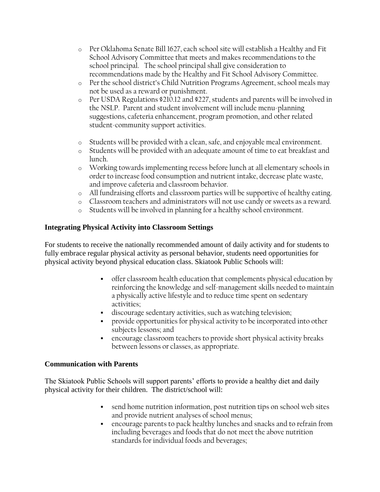- o Per Oklahoma Senate Bill 1627, each school site will establish a Healthy and Fit School Advisory Committee that meets and makes recommendations to the school principal. The school principal shall give consideration to recommendations made by the Healthy and Fit School Advisory Committee.
- o Per the school district's Child Nutrition Programs Agreement, school meals may not be used as a reward or punishment.
- o Per USDA Regulations §210.12 and §227, students and parents will be involved in the NSLP. Parent and student involvement will include menu-planning suggestions, cafeteria enhancement, program promotion, and other related student-community support activities.
- o Students will be provided with a clean, safe, and enjoyable meal environment.
- o Students will be provided with an adequate amount of time to eat breakfast and lunch.
- o Working towards implementing recess before lunch at all elementary schools in order to increase food consumption and nutrient intake, decrease plate waste, and improve cafeteria and classroom behavior.
- o All fundraising efforts and classroom parties will be supportive of healthy eating.
- o Classroom teachers and administrators will not use candy or sweets as a reward.
- o Students will be involved in planning for a healthy school environment.

## **Integrating Physical Activity into Classroom Settings**

For students to receive the nationally recommended amount of daily activity and for students to fully embrace regular physical activity as personal behavior, students need opportunities for physical activity beyond physical education class. Skiatook Public Schools will:

- offer classroom health education that complements physical education by reinforcing the knowledge and self-management skills needed to maintain a physically active lifestyle and to reduce time spent on sedentary activities;
- discourage sedentary activities, such as watching television;
- provide opportunities for physical activity to be incorporated into other subjects lessons; and
- encourage classroom teachers to provide short physical activity breaks between lessons or classes, as appropriate.

#### **Communication with Parents**

The Skiatook Public Schools will support parents' efforts to provide a healthy diet and daily physical activity for their children. The district/school will:

- send home nutrition information, post nutrition tips on school web sites and provide nutrient analyses of school menus;
- encourage parents to pack healthy lunches and snacks and to refrain from including beverages and foods that do not meet the above nutrition standards for individual foods and beverages;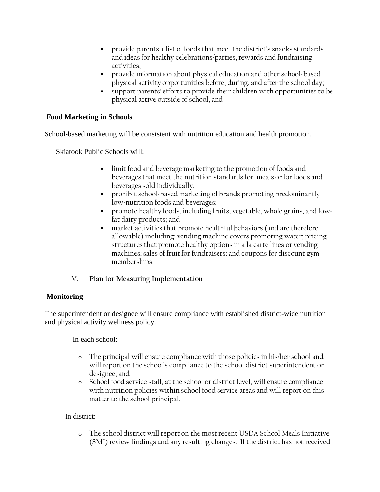- provide parents a list of foods that meet the district's snacks standards and ideas for healthy celebrations/parties, rewards and fundraising activities;
- provide information about physical education and other school-based physical activity opportunities before, during, and after the school day;
- support parents' efforts to provide their children with opportunities to be physical active outside of school, and

## **Food Marketing in Schools**

School-based marketing will be consistent with nutrition education and health promotion.

Skiatook Public Schools will:

- limit food and beverage marketing to the promotion of foods and beverages that meet the nutrition standards for meals or for foods and beverages sold individually;
- prohibit school-based marketing of brands promoting predominantly low-nutrition foods and beverages;
- promote healthy foods, including fruits, vegetable, whole grains, and lowfat dairy products; and
- market activities that promote healthful behaviors (and are therefore allowable) including: vending machine covers promoting water; pricing structures that promote healthy options in a la carte lines or vending machines; sales of fruit for fundraisers; and coupons for discount gym memberships.
- V. **Plan for Measuring Implementation**

## **Monitoring**

The superintendent or designee will ensure compliance with established district-wide nutrition and physical activity wellness policy.

In each school:

- o The principal will ensure compliance with those policies in his/her school and will report on the school's compliance to the school district superintendent or designee; and
- o School food service staff, at the school or district level, will ensure compliance with nutrition policies within school food service areas and will report on this matter to the school principal.

## In district:

o The school district will report on the most recent USDA School Meals Initiative (SMI) review findings and any resulting changes. If the district has not received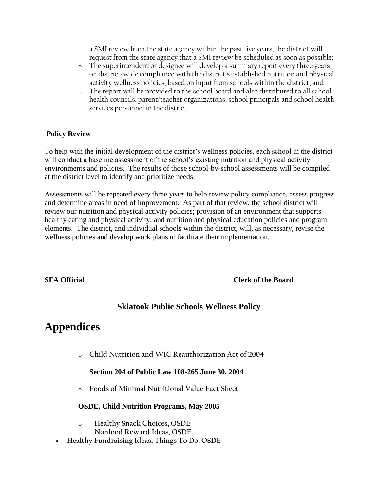a SMI review from the state agency within the past five years, the district will request from the state agency that a SMI review be scheduled as soon as possible;

- o The superintendent or designee will develop a summary report every three years on district-wide compliance with the district's established nutrition and physical activity wellness policies, based on input from schools within the district; and
- o The report will be provided to the school board and also distributed to all school health councils, parent/teacher organizations, school principals and school health services personnel in the district.

## **Policy Review**

To help with the initial development of the district's wellness policies, each school in the district will conduct a baseline assessment of the school's existing nutrition and physical activity environments and policies. The results of those school-by-school assessments will be compiled at the district level to identify and prioritize needs.

Assessments will be repeated every three years to help review policy compliance, assess progress and determine areas in need of improvement. As part of that review, the school district will review our nutrition and physical activity policies; provision of an environment that supports healthy eating and physical activity; and nutrition and physical education policies and program elements. The district, and individual schools within the district, will, as necessary, revise the wellness policies and develop work plans to facilitate their implementation.

## **SFA Official Clerk of the Board**

## **Skiatook Public Schools Wellness Policy**

# **Appendices**

o **Child Nutrition and WIC Reauthorization Act of 2004**

## **Section 204 of Public Law 108-265 June 30, 2004**

o **Foods of Minimal Nutritional Value Fact Sheet**

## **OSDE, Child Nutrition Programs, May 2005**

- o **Healthy Snack Choices, OSDE**
- o **Nonfood Reward Ideas, OSDE**
- **Healthy Fundraising Ideas, Things To Do, OSDE**